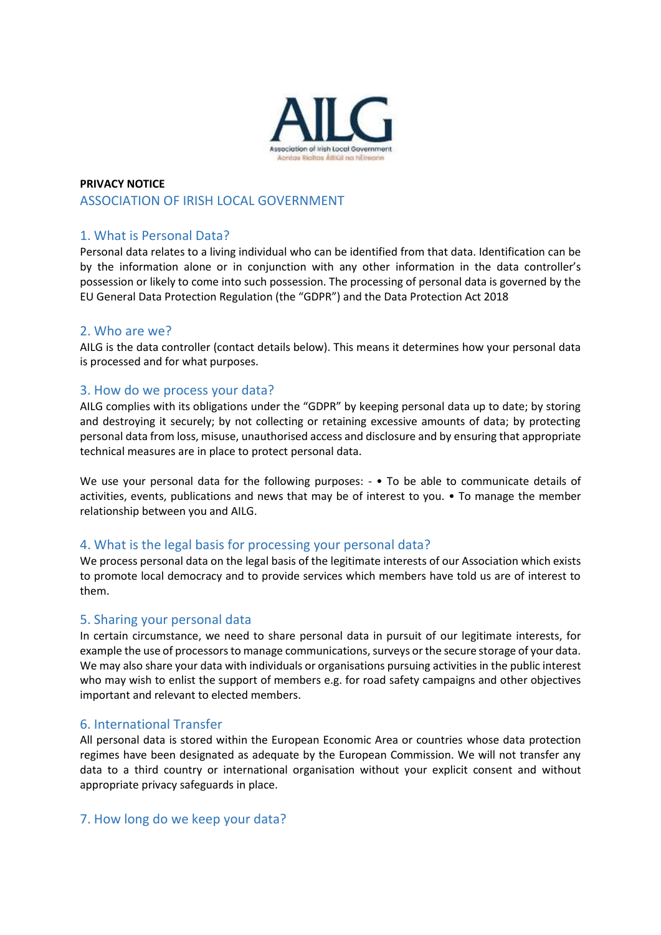

## **PRIVACY NOTICE** ASSOCIATION OF IRISH LOCAL GOVERNMENT

# 1. What is Personal Data?

Personal data relates to a living individual who can be identified from that data. Identification can be by the information alone or in conjunction with any other information in the data controller's possession or likely to come into such possession. The processing of personal data is governed by the EU General Data Protection Regulation (the "GDPR") and the Data Protection Act 2018

### 2. Who are we?

AILG is the data controller (contact details below). This means it determines how your personal data is processed and for what purposes.

#### 3. How do we process your data?

AILG complies with its obligations under the "GDPR" by keeping personal data up to date; by storing and destroying it securely; by not collecting or retaining excessive amounts of data; by protecting personal data from loss, misuse, unauthorised access and disclosure and by ensuring that appropriate technical measures are in place to protect personal data.

We use your personal data for the following purposes: -  $\bullet$  To be able to communicate details of activities, events, publications and news that may be of interest to you. • To manage the member relationship between you and AILG.

### 4. What is the legal basis for processing your personal data?

We process personal data on the legal basis of the legitimate interests of our Association which exists to promote local democracy and to provide services which members have told us are of interest to them.

#### 5. Sharing your personal data

In certain circumstance, we need to share personal data in pursuit of our legitimate interests, for example the use of processors to manage communications, surveys or the secure storage of your data. We may also share your data with individuals or organisations pursuing activities in the public interest who may wish to enlist the support of members e.g. for road safety campaigns and other objectives important and relevant to elected members.

### 6. International Transfer

All personal data is stored within the European Economic Area or countries whose data protection regimes have been designated as adequate by the European Commission. We will not transfer any data to a third country or international organisation without your explicit consent and without appropriate privacy safeguards in place.

### 7. How long do we keep your data?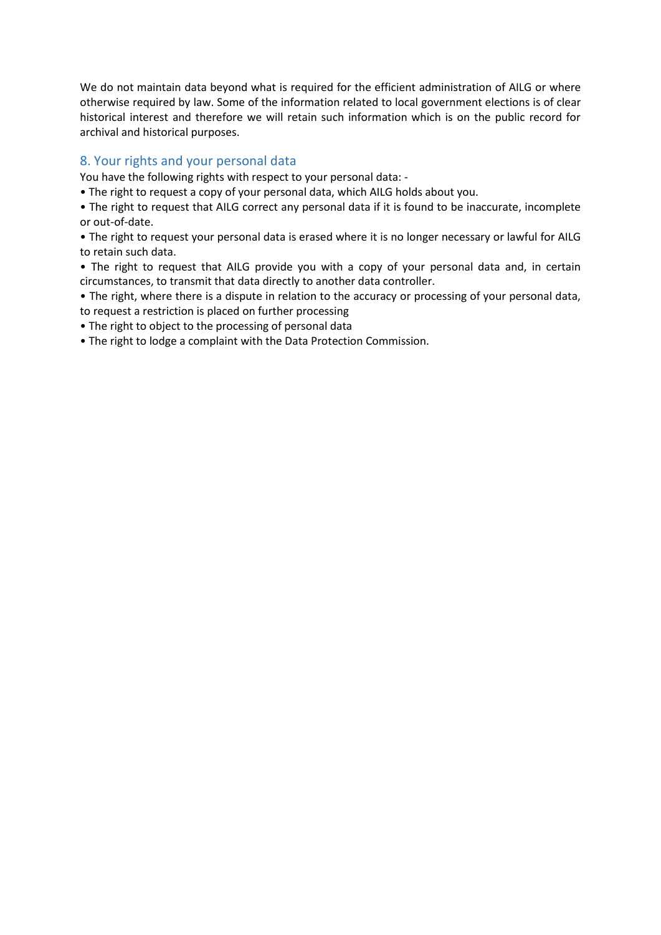We do not maintain data beyond what is required for the efficient administration of AILG or where otherwise required by law. Some of the information related to local government elections is of clear historical interest and therefore we will retain such information which is on the public record for archival and historical purposes.

# 8. Your rights and your personal data

You have the following rights with respect to your personal data: -

• The right to request a copy of your personal data, which AILG holds about you.

• The right to request that AILG correct any personal data if it is found to be inaccurate, incomplete or out-of-date.

• The right to request your personal data is erased where it is no longer necessary or lawful for AILG to retain such data.

• The right to request that AILG provide you with a copy of your personal data and, in certain circumstances, to transmit that data directly to another data controller.

• The right, where there is a dispute in relation to the accuracy or processing of your personal data, to request a restriction is placed on further processing

• The right to object to the processing of personal data

• The right to lodge a complaint with the Data Protection Commission.